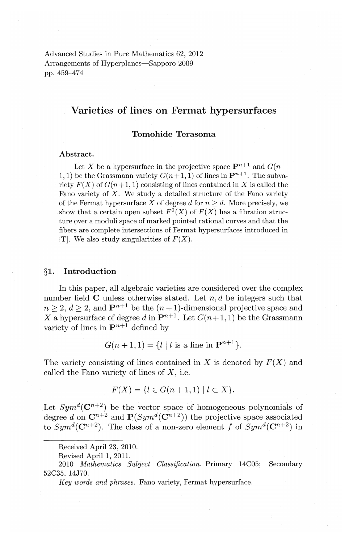Advanced Studies in Pure Mathematics 62, 2012 Arrangements of Hyperplanes—Sapporo 2009 pp. 459-474

# **Varieties of lines on Fermat hypersurfaces**

# **Tomohide** Terasoma

#### Abstract.

Let X be a hypersurface in the projective space  $\mathbf{P}^{n+1}$  and  $G(n+1)$ 1, 1) be the Grassmann variety  $G(n+1, 1)$  of lines in  $\mathbf{P}^{n+1}$ . The subvariety  $F(X)$  of  $G(n+1, 1)$  consisting of lines contained in X is called the Fano variety of  $X$ . We study a detailed structure of the Fano variety of the Fermat hypersurface X of degree  $d$  for  $n \geq d$ . More precisely, we show that a certain open subset  $F^0(X)$  of  $F(X)$  has a fibration structure over a moduli space of marked pointed rational curves and that the fibers are complete intersections of Fermat hypersurfaces introduced in [T]. We also study singularities of  $F(X)$ .

#### **§1. Introduction**

In this paper, all algebraic varieties are considered over the complex number field C unless otherwise stated. Let *n, d* be integers such that  $n \geq 2, d \geq 2$ , and  $\mathbf{P}^{n+1}$  be the  $(n+1)$ -dimensional projective space and *X* a hypersurface of degree d in  $\mathbf{P}^{n+1}$ . Let  $G(n+1, 1)$  be the Grassmann variety of lines in  $\mathbf{P}^{n+1}$  defined by

 $G(n+1, 1) = \{l | l \text{ is a line in } \mathbf{P}^{n+1}\}.$ 

The variety consisting of lines contained in X is denoted by  $F(X)$  and called the Fano variety of lines of  $X$ , i.e.

$$
F(X) = \{l \in G(n+1,1) \mid l \subset X\}.
$$

Let  $Sym^d(\mathbb{C}^{n+2})$  be the vector space of homogeneous polynomials of degree d on  $\mathbb{C}^{n+2}$  and  $\mathbb{P}(Sym^d(\mathbb{C}^{n+2}))$  the projective space associated to  $Sym^d(\mathbb{C}^{n+2})$ . The class of a non-zero element f of  $Sym^d(\mathbb{C}^{n+2})$  in

Received April 23, 2010.

Revised April 1, 2011.

<sup>2010</sup> *Mathematics Subject Classification.* Primary 14C05; Secondary 52C35, 14J70.

*Key words and phrases.* Fano variety, Fermat hypersurface.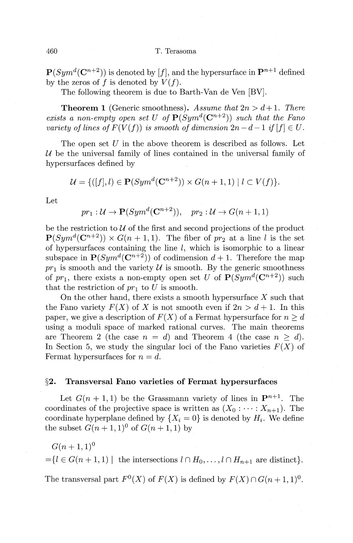$P(Sym^d(C^{n+2}))$  is denoted by [f], and the hypersurface in  $P^{n+1}$  defined by the zeros of f is denoted by  $V(f)$ .

The following theorem is due to Barth-Van de Ven [BV].

**Theorem 1** (Generic smoothness). Assume that  $2n > d+1$ . There *exists a non-empty open set U of*  $P(Sym^d(C^{n+2}))$  *such that the Fano variety of lines of*  $F(V(f))$  *is smooth of dimension*  $2n-d-1$  *if*  $|f| \in U$ .

The open set  $U$  in the above theorem is described as follows. Let  $U$  be the universal family of lines contained in the universal family of hypersurfaces defined by

$$
\mathcal{U} = \{ ([f], l) \in \mathbf{P}(Sym^d(\mathbf{C}^{n+2})) \times G(n+1, 1) \mid l \subset V(f) \}.
$$

Let

$$
pr_1: \mathcal{U} \to \mathbf{P}(Sym^d(\mathbf{C}^{n+2})), pr_2: \mathcal{U} \to G(n+1,1)
$$

be the restriction to  $U$  of the first and second projections of the product  $P(Sym^d(C^{n+2})) \times G(n+1,1)$ . The fiber of  $pr_2$  at a line *l* is the set of hypersurfaces containing the line  $l$ , which is isomorphic to a linear subspace in  $P(Sym^d(\mathbb{C}^{n+2}))$  of codimension  $d+1$ . Therefore the map  $pr_1$  is smooth and the variety  $\mathcal U$  is smooth. By the generic smoothness of  $pr_1$ , there exists a non-empty open set U of  $P(Sym^d(\mathbb{C}^{n+2}))$  such that the restriction of  $pr_1$  to U is smooth.

On the other hand, there exists a smooth hypersurface *X* such that the Fano variety  $F(X)$  of X is not smooth even if  $2n > d+1$ . In this paper, we give a description of  $F(X)$  of a Fermat hypersurface for  $n \geq d$ using a moduli space of marked rational curves. The main theorems are Theorem 2 (the case  $n = d$ ) and Theorem 4 (the case  $n \geq d$ ). In Section 5, we study the singular loci of the Fano varieties  $F(X)$  of Fermat hypersurfaces for  $n = d$ .

#### **§2. Transversal Fano varieties of Fermat hypersurfaces**

Let  $G(n + 1, 1)$  be the Grassmann variety of lines in  $\mathbf{P}^{n+1}$ . The coordinates of the projective space is written as  $(X_0: \cdots: X_{n+1})$ . The coordinate hyperplane defined by  $\{X_i = 0\}$  is denoted by  $H_i$ . We define the subset  $G(n + 1, 1)^0$  of  $G(n + 1, 1)$  by

 $G(n+1,1)^0$ 

 $=$ { $l \in G(n+1,1)$  | the intersections  $l \cap H_0, \ldots, l \cap H_{n+1}$  are distinct}.

The transversal part  $F^0(X)$  of  $F(X)$  is defined by  $F(X) \cap G(n+1,1)^0$ .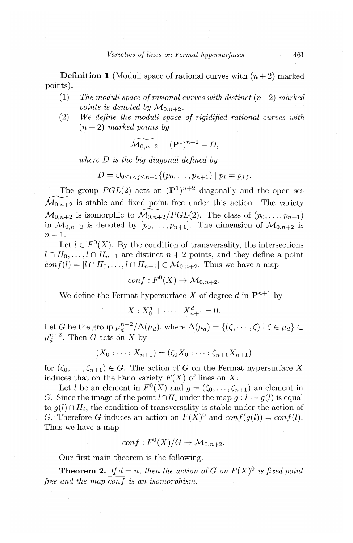**Definition 1** (Moduli space of rational curves with  $(n+2)$  marked points).

- (1) The moduli space of rational curves with distinct  $(n+2)$  marked *points is denoted by*  $\mathcal{M}_{0,n+2}$ *.*
- (2) *We define the moduli space of rigidified rational curves with*   $(n+2)$  *marked points by*

$$
\widetilde{\mathcal{M}_{0,n+2}} = (\mathbf{P}^1)^{n+2} - D,
$$

*where D is the big diagonal defined by* 

$$
D = \bigcup_{0 \leq i < j \leq n+1} \{ (p_0, \ldots, p_{n+1}) \mid p_i = p_j \}.
$$

The group  $PGL(2)$  acts on  $({\bf P}^1)^{n+2}$  diagonally and the open set  $\widetilde{\mathcal{M}_{0,n+2}}$  is stable and fixed point free under this action. The variety  $\mathcal{M}_{0,n+2}$  is isomorphic to  $\widetilde{\mathcal{M}_{0,n+2}}/PGL(2)$ . The class of  $(p_0,\ldots,p_{n+1})$ in  $\mathcal{M}_{0,n+2}$  is denoted by  $[p_0,\ldots,p_{n+1}]$ . The dimension of  $\mathcal{M}_{0,n+2}$  is  $n-1$ .

Let  $l \in F^0(X)$ . By the condition of transversality, the intersections  $l \n\cap H_0, \ldots, l \n\cap H_{n+1}$  are distinct  $n+2$  points, and they define a point  $conf(l) = [l \cap H_0, \ldots, l \cap H_{n+1}] \in M_{0,n+2}$ . Thus we have a map

 $conf: F<sup>0</sup>(X) \rightarrow \mathcal{M}_{0,n+2}$ 

We define the Fermat hypersurface *X* of degree d in  $\mathbf{P}^{n+1}$  by

$$
X: X_0^d + \dots + X_{n+1}^d = 0.
$$

Let *G* be the group  $\mu_d^{n+2}/\Delta(\mu_d)$ , where  $\Delta(\mu_d) = \{(\zeta, \dots, \zeta) | \zeta \in \mu_d\} \subset$  $\mu_d^{n+2}$ . Then G acts on X by

$$
(X_0: \dots: X_{n+1}) = (\zeta_0 X_0: \dots: \zeta_{n+1} X_{n+1})
$$

for  $(\zeta_0, \ldots, \zeta_{n+1}) \in G$ . The action of *G* on the Fermat hypersurface *X* induces that on the Fano variety  $F(X)$  of lines on X.

Let *l* be an element in  $F^0(X)$  and  $g = (\zeta_0, \ldots, \zeta_{n+1})$  an element in *G.* Since the image of the point  $l \cap H_i$  under the map  $g: l \rightarrow g(l)$  is equal to  $g(l) \cap H_i$ , the condition of transversality is stable under the action of *G.* Therefore *G* induces an action on  $F(X)^0$  and  $conf(g(l)) = conf(l)$ . Thus we have a map  $\frac{1}{conf}: F^{0}(X)/G \to \mathcal{M}_{0,n+2}.$ 

$$
\overline{conf}: F^0(X)/G \to \mathcal{M}_{0,n+2}.
$$

Our first main theorem is the following.

**Theorem 2.** If  $d = n$ , then the action of G on  $F(X)^0$  is fixed point *free and the map conf is an isomorphism.*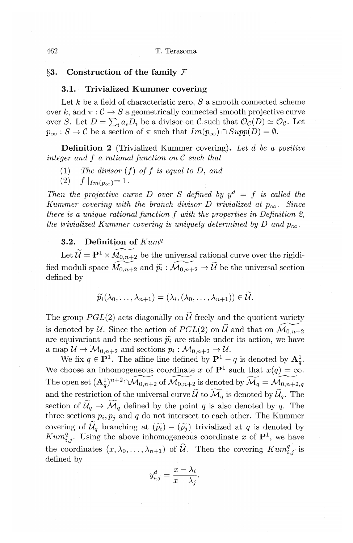## **§3. Construction of the family** *F*

# **3.1. Trivialized Kummer covering**

Let *k* be a field of characteristic zero, *S* a smooth connected scheme over k, and  $\pi : \mathcal{C} \to S$  a geometrically connected smooth projective curve over *S*. Let  $D = \sum_i a_i D_i$  be a divisor on *C* such that  $\mathcal{O}_{\mathcal{C}}(D) \simeq \mathcal{O}_{\mathcal{C}}$ . Let  $p_{\infty} : S \to C$  be a section of  $\pi$  such that  $Im(p_{\infty}) \cap Supp(D) = \emptyset$ .

**Definition 2** (Trivialized Kummer covering). *Let d be a positive integer and f a rational function on C such that* 

- (1) *The divisor* (*f*) *of f is equal to D, and* (2)  $f|_{Im(n_{\infty})} = 1$ .
- $f |_{Im(p_{\infty})} = 1.$

*Then the projective curve D over S defined by*  $y^d = f$  *is called the Kummer covering with the branch divisor D trivialized at*  $p_{\infty}$ *. Since there is a unique rational function f with the properties in Definition 2, the trivialized Kummer covering is uniquely determined by D and*  $p_{\infty}$ *.* 

# **3.2.** Definition of  $Kum<sup>q</sup>$

Let  $\widetilde{\mathcal{U}} = \mathbf{P}^1 \times \widetilde{M}_{0,n+2}$  be the universal rational curve over the rigidi-<br>fied moduli space  $\widetilde{M}_{0,n+2}$  and  $\widetilde{p}_i : \widetilde{\mathcal{M}}_{0,n+2} \to \widetilde{\mathcal{U}}$  be the universal section defined by

$$
\widetilde{p_i}(\lambda_0,\ldots,\lambda_{n+1})=(\lambda_i,(\lambda_0,\ldots,\lambda_{n+1}))\in \widetilde{\mathcal{U}}.
$$

The group  $PGL(2)$  acts diagonally on  $\widetilde{U}$  freely and the quotient variety is denoted by *U*. Since the action of  $PGL(2)$  on  $\widetilde{U}$  and that on  $\widetilde{\mathcal{M}}_{0,n+2}$ are equivariant and the sections  $\tilde{p}_i$  are stable under its action, we have a map  $\mathcal{U} \to \mathcal{M}_{0,n+2}$  and sections  $p_i : \mathcal{M}_{0,n+2} \to \mathcal{U}$ .

We fix  $q \in \mathbf{P}^1$ . The affine line defined by  $\mathbf{P}^1 - q$  is denoted by  $\mathbf{A}_q^1$ . We choose an inhomogeneous coordinate x of  $\mathbf{P}^1$  such that  $x(q) = \infty$ . The open set  $(\mathbf{A}_q^1)^{n+2} \cap \widetilde{\mathcal{M}_{0,n+2}}$  of  $\widetilde{\mathcal{M}_{0,n+2}}$  is denoted by  $\widetilde{\mathcal{M}_q} = \widetilde{\mathcal{M}_{0,n+2,q}}$ and the restriction of the universal curve  $\widetilde{\mathcal{U}}$  to  $\widetilde{\mathcal{M}}_q$  is denoted by  $\widetilde{\mathcal{U}}_q$ . The section of  $\mathcal{U}_q \rightarrow \mathcal{M}_q$  defined by the point *q* is also denoted by *q*. The three sections  $p_i, p_j$  and  $q$  do not intersect to each other. The Kummer covering of  $\mathcal{U}_q$  branching at  $(\widetilde{p}_i) - (\widetilde{p}_j)$  trivialized at *q* is denoted by  $Kum_{i,j}^q$ . Using the above inhomogeneous coordinate *x* of  $\mathbf{P}^1$ , we have the coordinates  $(x, \lambda_0, \ldots, \lambda_{n+1})$  of  $\widetilde{U}$ . Then the covering  $Kum_{i,j}^q$  is defined by

$$
y_{i,j}^d = \frac{x - \lambda_i}{x - \lambda_j}.
$$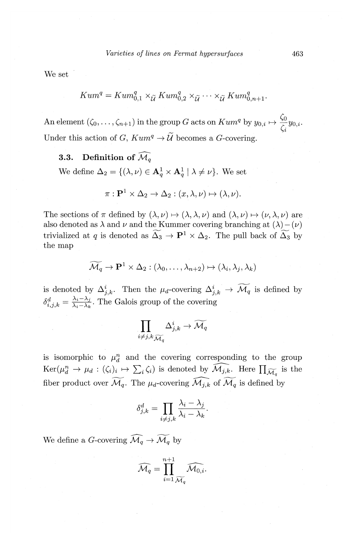We set

$$
Kum^{q} = Kum_{0,1}^{q} \times_{\widetilde{\mathcal{U}}} Kum_{0,2}^{q} \times_{\widetilde{\mathcal{U}}} \cdots \times_{\widetilde{\mathcal{U}}} Kum_{0,n+1}^{q}.
$$

An element  $(\zeta_0, \ldots, \zeta_{n+1})$  in the group *G* acts on  $Kum^q$  by  $y_{0,i} \mapsto \frac{\zeta_0}{\zeta} y_{0,i}$ . Under this action of G,  $Kum^q \rightarrow \widetilde{\mathcal{U}}$  becomes a G-covering.

# ${\bf 3.3.} \quad {\bf Definition \,\, of} \,\, \widehat{{\cal M}_q}$

We define  $\Delta_2 = \{(\lambda, \nu) \in \mathbf{A}_q^1 \times \mathbf{A}_q^1 \mid \lambda \neq \nu\}$ . We set

$$
\pi: \mathbf{P}^1 \times \Delta_2 \to \Delta_2: (x, \lambda, \nu) \mapsto (\lambda, \nu).
$$

The sections of  $\pi$  defined by  $(\lambda, \nu) \mapsto (\lambda, \lambda, \nu)$  and  $(\lambda, \nu) \mapsto (\nu, \lambda, \nu)$  are also denoted as  $\lambda$  and  $\nu$  and the Kummer covering branching at  $(\lambda)-(\nu)$ trivialized at *q* is denoted as  $\widetilde{\Delta_3} \to \mathbf{P}^1 \times \Delta_2$ . The pull back of  $\widetilde{\Delta_3}$  by the map

$$
\widetilde{\mathcal{M}}_q \to \mathbf{P}^1 \times \Delta_2 : (\lambda_0, \dots, \lambda_{n+2}) \mapsto (\lambda_i, \lambda_j, \lambda_k)
$$

is denoted by  $\Delta^i_{j,k}$ . Then the  $\mu_d$ -covering  $\Delta^i_{j,k} \to \widetilde{\mathcal{M}}_q$  is defined by  $\delta_{i,j,k}^d = \frac{\lambda_i - \lambda_j}{\lambda_i - \lambda_k}$ . The Galois group of the covering

$$
\prod_{i\neq j,k}\sum_{\widetilde{\mathcal{M}}_q}\Delta^i_{j,k}\rightarrow \widetilde{\mathcal{M}_q}
$$

is isomorphic to  $\mu_d^n$  and the covering corresponding to the group  $\text{Ker}(\mu_d^n \to \mu_d : (\zeta_i)_i \mapsto \sum_i \zeta_i)$  is denoted by  $\widehat{\mathcal{M}_{j,k}}$ . Here  $\prod_{\widetilde{\mathcal{M}}_q}$  is the fiber product over  $\widetilde{\mathcal{M}}_q$ . The  $\mu_d$ -covering  $\widehat{\mathcal{M}}_{j,k}$  of  $\widetilde{\mathcal{M}}_q$  is defined by

$$
\delta_{j,k}^d = \prod_{i \neq j,k} \frac{\lambda_i - \lambda_j}{\lambda_i - \lambda_k}.
$$

We define a *G*-covering  $\widehat{\mathcal{M}_q} \to \widetilde{\mathcal{M}_q}$  by

$$
\widehat{\mathcal{M}_q} = \prod_{i=1}^{n+1} \widehat{\mathcal{M}_{0,i}}.
$$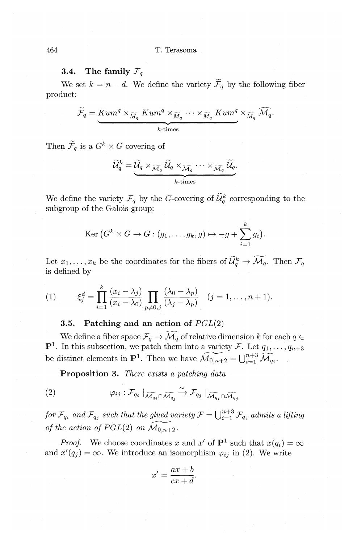# **3.4.** The family  $\mathcal{F}_q$

We set  $k = n - d$ . We define the variety  $\widetilde{\mathcal{F}}_q$  by the following fiber product:

$$
\widetilde{\mathcal{F}}_q = \underbrace{Kum^q\times_{\widetilde{M}_q}Kum^q\times_{\widetilde{M}_q}\cdots\times_{\widetilde{M}_q}Kum^q}_{k\text{-times}}\times_{\widetilde{M}_q}\widehat{\mathcal{M}_q}.
$$

Then  $\widetilde{\mathcal{F}}_q$  is a  $G^k \times G$  covering of

$$
\widetilde{\mathcal{U}}_q^k = \underbrace{\widetilde{\mathcal{U}}_q \times_{\widetilde{\mathcal{M}}_q} \widetilde{\mathcal{U}}_q \times_{\widetilde{\mathcal{M}}_q} \cdots \times_{\widetilde{\mathcal{M}}_q} \widetilde{\mathcal{U}}_q}_{k\text{-times}}.
$$

We define the variety  $\mathcal{F}_q$  by the *G*-covering of  $\widetilde{\mathcal{U}}_q^k$  corresponding to the subgroup of the Galois group:

$$
\mathrm{Ker}\,(G^k\times G\to G:(g_1,\ldots,g_k,g)\mapsto -g+\sum_{i=1}^k g_i).
$$

Let  $x_1, \ldots, x_k$  be the coordinates for the fibers of  $\widetilde{\mathcal{U}}_q^k \to \widetilde{\mathcal{M}}_q$ . Then  $\mathcal{F}_q$ is defined by

(1) 
$$
\xi_j^d = \prod_{i=1}^k \frac{(x_i - \lambda_j)}{(x_i - \lambda_0)} \prod_{p \neq 0, j} \frac{(\lambda_0 - \lambda_p)}{(\lambda_j - \lambda_p)} \quad (j = 1, \dots, n+1).
$$

# **3.5. Patching and an action of** PGL(2)

We define a fiber space  $\mathcal{F}_q \to \widetilde{\mathcal{M}}_q$  of relative dimension *k* for each  $q \in$  ${\bf P}^1$ . In this subsection, we patch them into a variety F. Let  $q_1, \ldots, q_{n+3}$ be distinct elements in  $\mathbf{P}^1$ . Then we have  $\widetilde{\mathcal{M}_{0,n+2}} = \bigcup_{i=1}^{n+3} \widetilde{\mathcal{M}_{q_i}}$ .

**Proposition 3.** *There exists a patching data* 

$$
(2) \qquad \qquad \varphi_{ij}: \mathcal{F}_{q_i} \mid_{\widetilde{\mathcal{M}_{q_i}} \cap \widetilde{\mathcal{M}_{q_j}}} \xrightarrow{\simeq} \mathcal{F}_{q_j} \mid_{\widetilde{\mathcal{M}_{q_i}} \cap \widetilde{\mathcal{M}_{q_j}}}
$$

*for*  $\mathcal{F}_{q_i}$  *and*  $\mathcal{F}_{q_j}$  *such that the glued variety*  $\mathcal{F} = \bigcup_{i=1}^{n+3} \mathcal{F}_{q_i}$  *admits a lifting of the action of PGL(2) on*  $\widetilde{\mathcal{M}}_{0,n+2}$ .

*Proof.* We choose coordinates *x* and *x'* of  $P<sup>1</sup>$  such that  $x(q<sub>i</sub>) = \infty$ and  $x'(q_j) = \infty$ . We introduce an isomorphism  $\varphi_{ij}$  in (2). We write

$$
x' = \frac{ax+b}{cx+d}.
$$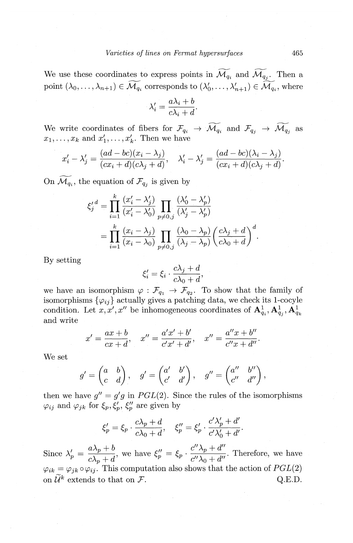We use these coordinates to express points in  $\widetilde{\mathcal{M}_{q_i}}$  and  $\widetilde{\mathcal{M}_{q_i}}$ . Then a point  $(\lambda_0, \ldots, \lambda_{n+1}) \in \widetilde{\mathcal{M}_{q_i}}$  corresponds to  $(\lambda'_0, \ldots, \lambda'_{n+1}) \in \widetilde{\mathcal{M}_{q_i}}$ , where

$$
\lambda_i' = \frac{a\lambda_i + b}{c\lambda_i + d}.
$$

We write coordinates of fibers for  $\mathcal{F}_{q_i} \to \widetilde{\mathcal{M}_{q_i}}$  and  $\mathcal{F}_{q_j} \to \widetilde{\mathcal{M}_{q_j}}$  as  $x_1, \ldots, x_k$  and  $x'_1, \ldots, x'_k$ . Then we have

$$
x'_i - \lambda'_j = \frac{(ad - bc)(x_i - \lambda_j)}{(cx_i + d)(c\lambda_j + d)}, \quad \lambda'_i - \lambda'_j = \frac{(ad - bc)(\lambda_i - \lambda_j)}{(cx_i + d)(c\lambda_j + d)}.
$$

On  $\widetilde{\mathcal{M}_{q_i}}$ , the equation of  $\mathcal{F}_{q_j}$  is given by

$$
\xi_j^d = \prod_{i=1}^k \frac{(x_i' - \lambda_j')}{(x_i' - \lambda_0')} \prod_{p \neq 0, j} \frac{(\lambda_0' - \lambda_p')}{(\lambda_j' - \lambda_p')}
$$

$$
= \prod_{i=1}^k \frac{(x_i - \lambda_j)}{(x_i - \lambda_0)} \prod_{p \neq 0, j} \frac{(\lambda_0 - \lambda_p)}{(\lambda_j - \lambda_p)} \left(\frac{c\lambda_j + d}{c\lambda_0 + d}\right)^d.
$$

By setting

$$
\xi_i' = \xi_i \cdot \frac{c\lambda_j + d}{c\lambda_0 + d},
$$

we have an isomorphism  $\varphi : \mathcal{F}_{q_1} \to \mathcal{F}_{q_2}$ . To show that the family of isomorphisms  $\{\varphi_{ij}\}\$  actually gives a patching data, we check its 1-cocyle condition. Let  $x, x', x''$  be inhomogeneous coordinates of  $A^1_{a_i}, A^1_{a_i}, A^1_{a_k}$ and write

$$
x' = \frac{ax+b}{cx+d}, \quad x'' = \frac{a'x'+b'}{c'x'+d'}, \quad x'' = \frac{a''x+b''}{c''x+d''}.
$$

We set

$$
g' = \begin{pmatrix} a & b \\ c & d \end{pmatrix}, \quad g' = \begin{pmatrix} a' & b' \\ c' & d' \end{pmatrix}, \quad g'' = \begin{pmatrix} a'' & b'' \\ c'' & d'' \end{pmatrix},
$$

then we have  $g'' = g'g$  in  $PGL(2)$ . Since the rules of the isomorphisms  $\varphi_{ij}$  and  $\varphi_{jk}$  for  $\xi_p, \xi_p', \xi_p''$  are given by

$$
\xi_p' = \xi_p \cdot \frac{c\lambda_p + d}{c\lambda_0 + d}, \quad \xi_p'' = \xi_p' \cdot \frac{c'\lambda_p' + d'}{c'\lambda_0' + d'}.
$$

 $a\lambda_p + b$  *c'*  $\lambda_p + d''$ Since  $\lambda'_p = \frac{\Delta p + \delta}{c\lambda_p + d}$ , we have  $\xi''_p = \xi_p \cdot \frac{\Delta p + \delta}{c'\lambda_0 + d''}$ . Therefore, we have  $\varphi_{ik} = \varphi_{jk} \circ \varphi_{ij}$ . This computation also shows that the action of  $PGL(2)$ on  $\widetilde{\mathcal{U}}^k$  extends to that on  $\mathcal{F}$ . Q.E.D.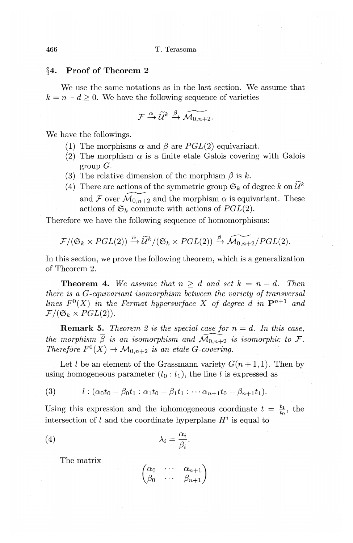#### §4. **Proof of Theorem 2**

We use the same notations as in the last section. We assume that  $k = n - d \geq 0$ . We have the following sequence of varieties

$$
\mathcal{F} \xrightarrow{\alpha} \widetilde{\mathcal{U}}^k \xrightarrow{\beta} \widetilde{\mathcal{M}_{0,n+2}}.
$$

We have the followings.

- (1) The morphisms  $\alpha$  and  $\beta$  are  $PGL(2)$  equivariant.
- (2) The morphism  $\alpha$  is a finite etale Galois covering with Galois group *G.*
- (3) The relative dimension of the morphism  $\beta$  is  $k$ .
- (4) There are actions of the symmetric group  $\mathfrak{S}_k$  of degree *k* on  $\widetilde{\mathcal{U}}^k$ and *F* over  $\mathcal{M}_{0,n+2}$  and the morphism  $\alpha$  is equivariant. These actions of  $\mathfrak{S}_k$  commute with actions of  $PGL(2)$ .

Therefore we have the following sequence of homomorphisms:

$$
\mathcal{F}/(\mathfrak{S}_k \times PGL(2)) \stackrel{\overline{\alpha}}{\rightarrow} \widetilde{\mathcal{U}}^k/(\mathfrak{S}_k \times PGL(2)) \stackrel{\overline{\beta}}{\rightarrow} \widetilde{\mathcal{M}_{0,n+2}}/PGL(2).
$$

In this section, we prove the following theorem, which is a generalization of Theorem 2.

**Theorem 4.** We assume that  $n \geq d$  and set  $k = n - d$ . Then *there is a G-equivariant isomorphism between the variety of transversal lines*  $F^{0}(X)$  *in the Fermat hypersurface* X *of degree d in*  $\mathbf{P}^{n+1}$  *and*  $\mathcal{F}/(\mathfrak{S}_k \times PGL(2)).$ 

**Remark 5.** *Theorem 2 is the special case for*  $n = d$ . In this case, *the morphism*  $\overline{\beta}$  *is an isomorphism and*  $\widehat{\mathcal{M}_{0,n+2}}$  *is isomorphic to*  $\mathcal{F}.$ *Therefore*  $F^0(X) \to \mathcal{M}_{0,n+2}$  *is an etale G-covering.* 

Let l be an element of the Grassmann variety  $G(n+1,1)$ . Then by using homogeneous parameter  $(t_0 : t_1)$ , the line l is expressed as

$$
(3) \qquad l: (\alpha_0 t_0 - \beta_0 t_1 : \alpha_1 t_0 - \beta_1 t_1 : \cdots \alpha_{n+1} t_0 - \beta_{n+1} t_1).
$$

Using this expression and the inhomogeneous coordinate  $t = \frac{t_1}{t_0}$ , the intersection of *l* and the coordinate hyperplane  $H^i$  is equal to

$$
\lambda_i = \frac{\alpha_i}{\beta_i}.
$$

The matrix

$$
\begin{pmatrix}\n\alpha_0 & \cdots & \alpha_{n+1} \\
\beta_0 & \cdots & \beta_{n+1}\n\end{pmatrix}
$$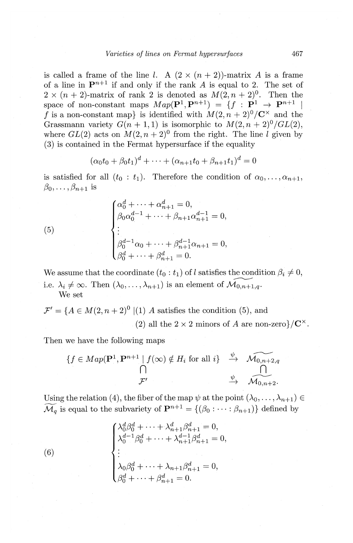is called a frame of the line l. A  $(2 \times (n+2))$ -matrix A is a frame of a line in  $\mathbf{P}^{n+1}$  if and only if the rank A is equal to 2. The set of  $2 \times (n+2)$ -matrix of rank 2 is denoted as  $M(2, n+2)$ <sup>0</sup>. Then the space of non-constant maps  $Map(\mathbf{P}^1, \mathbf{P}^{n+1}) = \{f : \mathbf{P}^1 \to \mathbf{P}^{n+1} \mid$ f is a non-constant map} is identified with  $M(2, n+2)^0/\mathbb{C}^{\times}$  and the Grassmann variety  $G(n + 1, 1)$  is isomorphic to  $M(2, n + 2)^0 / GL(2)$ , where  $GL(2)$  acts on  $M(2, n+2)^0$  from the right. The line l given by (3) is contained in the Fermat hypersurface if the equality

$$
(\alpha_0 t_0 + \beta_0 t_1)^d + \dots + (\alpha_{n+1} t_0 + \beta_{n+1} t_1)^d = 0
$$

is satisfied for all  $(t_0 : t_1)$ . Therefore the condition of  $\alpha_0, \ldots, \alpha_{n+1}$ ,  $\beta_0, \ldots, \beta_{n+1}$  is

(5) 
$$
\begin{cases} \alpha_0^d + \cdots + \alpha_{n+1}^d = 0, \\ \beta_0 \alpha_0^{d-1} + \cdots + \beta_{n+1} \alpha_{n+1}^{d-1} = 0, \\ \vdots \\ \beta_0^{d-1} \alpha_0 + \cdots + \beta_{n+1}^{d-1} \alpha_{n+1} = 0, \\ \beta_0^d + \cdots + \beta_{n+1}^d = 0. \end{cases}
$$

We assume that the coordinate  $(t_0 : t_1)$  of l satisfies the condition  $\beta_i \neq 0$ , i.e.  $\lambda_i \neq \infty$ . Then  $(\lambda_0, \ldots, \lambda_{n+1})$  is an element of  $\mathcal{M}_{0,n+1,q}$ . We set

$$
\mathcal{F}' = \{ A \in M(2, n+2)^0 \mid (1) A \text{ satisfies the condition (5), and}
$$
  
(2) all the 2 × 2 minors of A are non-zero} / C<sup>×</sup>.

Then we have the following maps

$$
\{f \in Map(\mathbf{P}^1, \mathbf{P}^{n+1} \mid f(\infty) \notin H_i \text{ for all } i\} \xrightarrow{\psi} \overbrace{\mathcal{M}_{0,n+2,q}}^{\mathcal{N}_{0,n+2,q}}
$$

Using the relation (4), the fiber of the map  $\psi$  at the point  $(\lambda_0, \ldots, \lambda_{n+1}) \in$  $\widetilde{\mathcal{M}}_q$  is equal to the subvariety of  $\mathbf{P}^{n+1} = \{(\beta_0 : \cdots : \beta_{n+1})\}$  defined by

(6) 
$$
\begin{cases} \lambda_0^d \beta_0^d + \dots + \lambda_{n+1}^d \beta_{n+1}^d = 0, \\ \lambda_0^{d-1} \beta_0^d + \dots + \lambda_{n+1}^{d-1} \beta_{n+1}^d = 0, \\ \vdots \\ \lambda_0 \beta_0^d + \dots + \lambda_{n+1} \beta_{n+1}^d = 0, \\ \beta_0^d + \dots + \beta_{n+1}^d = 0. \end{cases}
$$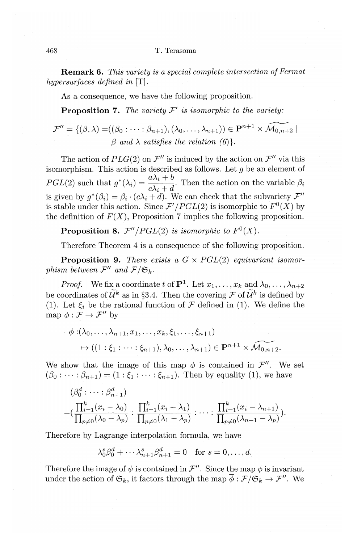**Remark 6.** *This variety is a special complete intersection of Fermat hypersurfaces defined in* [T].

As a consequence, we have the following proposition.

**Proposition 7.** *The variety*  $F'$  *is isomorphic to the variety:* 

$$
\mathcal{F}'' = \{ (\beta, \lambda) = ((\beta_0 : \cdots : \beta_{n+1}), (\lambda_0, \dots, \lambda_{n+1})) \in \mathbf{P}^{n+1} \times \widetilde{\mathcal{M}_{0,n+2}} \mid \beta \text{ and } \lambda \text{ satisfies the relation } (\beta) \}.
$$

The action of  $PLG(2)$  on  $\mathcal{F}''$  is induced by the action on  $\mathcal{F}''$  via this isomorphism. This action is described as follows. Let  $q$  be an element of *PGL*(2) such that  $g^*(\lambda_i) = \frac{a\lambda_i + b}{c\lambda_i + d}$ . Then the action on the variable  $\beta_i$ is given by  $g^*(\beta_i) = \beta_i \cdot (c\lambda_i + d)$ . We can check that the subvariety  $\mathcal{F}''$ is stable under this action. Since  $\mathcal{F}'/PGL(2)$  is isomorphic to  $F^0(X)$  by the definition of  $F(X)$ . Proposition 7 implies the following proposition.

**Proposition 8.**  $\mathcal{F}''/PGL(2)$  is isomorphic to  $F^0(X)$ .

Therefore Theorem 4 is a consequence of the following proposition.

**Proposition 9.** There exists a  $G \times PGL(2)$  equivariant isomor*phism between*  $\mathcal{F}''$  and  $\mathcal{F}/\mathfrak{S}_k$ .

*Proof.* We fix a coordinate *t* of  $\mathbf{P}^1$ . Let  $x_1, \ldots, x_k$  and  $\lambda_0, \ldots, \lambda_{n+2}$ be coordinates of  $\widetilde{\mathcal{U}}^k$  as in §3.4. Then the covering  $\mathcal{F}$  of  $\widetilde{\mathcal{U}}^k$  is defined by (1). Let  $\xi_i$  be the rational function of  $\mathcal F$  defined in (1). We define the map  $\phi : \mathcal{F} \to \mathcal{F}''$  by

$$
\phi: (\lambda_0, \ldots, \lambda_{n+1}, x_1, \ldots, x_k, \xi_1, \ldots, \xi_{n+1})
$$
  

$$
\mapsto ((1:\xi_1: \cdots: \xi_{n+1}), \lambda_0, \ldots, \lambda_{n+1}) \in \mathbf{P}^{n+1} \times \widehat{\mathcal{M}_{0,n+2}}.
$$

We show that the image of this map  $\phi$  is contained in  $\mathcal{F}''$ . We set  $(\beta_0 : \cdots : \beta_{n+1}) = (1 : \xi_1 : \cdots : \xi_{n+1})$ . Then by equality (1), we have

$$
(\beta_0^d : \dots : \beta_{n+1}^d)
$$
  
= $(\frac{\prod_{i=1}^k (x_i - \lambda_0)}{\prod_{p \neq 0} (\lambda_0 - \lambda_p)} : \frac{\prod_{i=1}^k (x_i - \lambda_1)}{\prod_{p \neq 0} (\lambda_1 - \lambda_p)} : \dots : \frac{\prod_{i=1}^k (x_i - \lambda_{n+1})}{\prod_{p \neq 0} (\lambda_{n+1} - \lambda_p)}).$ 

Therefore by Lagrange interpolation formula, we have

$$
\lambda_0^s \beta_0^d + \cdots \lambda_{n+1}^s \beta_{n+1}^d = 0 \quad \text{for } s = 0, \ldots, d.
$$

Therefore the image of  $\psi$  is contained in  $\mathcal{F}''$ . Since the map  $\phi$  is invariant under the action of  $\mathfrak{S}_k$ , it factors through the map  $\overline{\phi}: \mathcal{F}/\mathfrak{S}_k \to \mathcal{F}''$ . We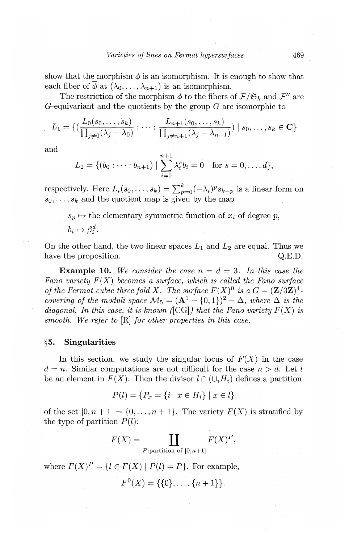show that the morphism  $\phi$  is an isomorphism. It is enough to show that each fiber of  $\overline{\phi}$  at  $(\lambda_0, \ldots, \lambda_{n+1})$  is an isomorphism.

The restriction of the morphism  $\overline{\phi}$  to the fibers of  $\mathcal{F}/\mathfrak{S}_k$  and  $\mathcal{F}''$  are G-equivariant and the quotients by the group *G* are isomorphic to

$$
L_1 = \{ \left( \frac{L_0(s_0,\ldots,s_k)}{\prod_{j\neq 0}(\lambda_j-\lambda_0)} : \cdots : \frac{L_{n+1}(s_0,\ldots,s_k)}{\prod_{j\neq n+1}(\lambda_j-\lambda_{n+1})} \right) \mid s_0,\ldots,s_k \in \mathbf{C} \}
$$

and  

$$
L_2 = \{(b_0 : \cdots : b_{n+1}) \mid \sum_{i=0}^{n+1} \lambda_i^s b_i = 0 \text{ for } s = 0, ..., d\},\
$$

respectively. Here  $L_i(s_0, \ldots, s_k) = \sum_{p=0}^k (-\lambda_i)^p s_{k-p}$  is a linear form on  $s_0, \ldots, s_k$  and the quotient map is given by the map

 $s_p \mapsto$  the elementary symmetric function of  $x_i$  of degree p,  $b_i \mapsto \beta_i^d$ .

On the other hand, the two linear spaces  $L_1$  and  $L_2$  are equal. Thus we have the proposition.  $Q.E.D.$ 

**Example 10.** We consider the case  $n = d = 3$ . In this case the *Fano variety* F(X) *becomes a surface, which is called the Fano surface of the Fermat cubic three fold X. The surface*  $F(X)^0$  *is a*  $G = (\mathbf{Z}/3\mathbf{Z})^4$ *covering of the moduli space*  $M_5 = (A^1 - \{0,1\})^2 - \Delta$ , where  $\Delta$  *is the diagonal. In this case, it is known*  $\langle \text{[CG]} \rangle$  *that the Fano variety*  $F(X)$  *is smooth. We refer to* [R] *for other properties in this case.* 

#### **§5. Singularities**

In this section, we study the singular locus of  $F(X)$  in the case  $d = n$ . Similar computations are not difficult for the case  $n > d$ . Let l be an element in  $F(X)$ . Then the divisor  $l \cap (\cup_i H_i)$  defines a partition

$$
P(l) = \{ P_x = \{ i \mid x \in H_i \} \mid x \in l \}
$$

of the set  $[0, n+1] = \{0, \ldots, n+1\}$ . The variety  $F(X)$  is stratified by the type of partition *P(l):* 

$$
F(X) = \coprod_{P:\text{partition of }[0,n+1]} F(X)^P,
$$

where  $F(X)^P = \{l \in F(X) \mid P(l) = P\}$ . For example,

$$
F^{0}(X) = \{\{0\}, \ldots, \{n+1\}\}.
$$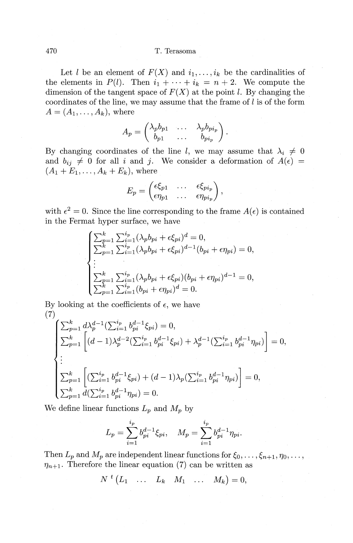Let l be an element of  $F(X)$  and  $i_1, \ldots, i_k$  be the cardinalities of the elements in  $P(l)$ . Then  $i_1 + \cdots + i_k = n + 2$ . We compute the dimension of the tangent space of  $F(X)$  at the point l. By changing the coordinates of the line, we may assume that the frame of  $l$  is of the form  $A=(A_1,\ldots,A_k),$  where

$$
A_p = \begin{pmatrix} \lambda_p b_{p1} & \dots & \lambda_p b_{p i_p} \\ b_{p1} & \dots & b_{p i_p} \end{pmatrix}.
$$

By changing coordinates of the line *l*, we may assume that  $\lambda_i \neq 0$ and  $b_{ij} \neq 0$  for all i and j. We consider a deformation of  $A(\epsilon)$  $(A_1 + E_1, ..., A_k + E_k)$ , where

$$
E_p = \begin{pmatrix} \epsilon \xi_{p1} & \dots & \epsilon \xi_{p i_p} \\ \epsilon \eta_{p1} & \dots & \epsilon \eta_{p i_p} \end{pmatrix},
$$

with  $\epsilon^2 = 0$ . Since the line corresponding to the frame  $A(\epsilon)$  is contained in the Fermat hyper surface, we have

$$
\begin{cases}\n\sum_{p=1}^{k} \sum_{i=1}^{i_p} (\lambda_p b_{pi} + \epsilon \xi_{pi})^d = 0, \\
\sum_{p=1}^{k} \sum_{i=1}^{i_p} (\lambda_p b_{pi} + \epsilon \xi_{pi})^{d-1} (b_{pi} + \epsilon \eta_{pi}) = 0, \\
\vdots \\
\sum_{p=1}^{k} \sum_{i=1}^{i_p} (\lambda_p b_{pi} + \epsilon \xi_{pi}) (b_{pi} + \epsilon \eta_{pi})^{d-1} = 0, \\
\sum_{p=1}^{k} \sum_{i=1}^{i_p} (b_{pi} + \epsilon \eta_{pi})^d = 0.\n\end{cases}
$$

By looking at the coefficients of  $\epsilon$ , we have (7)

$$
\begin{cases}\n\sum_{p=1}^{k} d\lambda_{p}^{d-1} (\sum_{i=1}^{i_{p}} b_{pi}^{d-1} \xi_{pi}) = 0, \\
\sum_{p=1}^{k} \left[ (d-1)\lambda_{p}^{d-2} (\sum_{i=1}^{i_{p}} b_{pi}^{d-1} \xi_{pi}) + \lambda_{p}^{d-1} (\sum_{i=1}^{i_{p}} b_{pi}^{d-1} \eta_{pi}) \right] = 0, \\
\vdots \\
\sum_{p=1}^{k} \left[ (\sum_{i=1}^{i_{p}} b_{pi}^{d-1} \xi_{pi}) + (d-1)\lambda_{p} (\sum_{i=1}^{i_{p}} b_{pi}^{d-1} \eta_{pi}) \right] = 0, \\
\sum_{p=1}^{k} d(\sum_{i=1}^{i_{p}} b_{pi}^{d-1} \eta_{pi}) = 0.\n\end{cases}
$$

We define linear functions  $L_p$  and  $M_p$  by

$$
L_p = \sum_{i=1}^{i_p} b_{pi}^{d-1} \xi_{pi}, \quad M_p = \sum_{i=1}^{i_p} b_{pi}^{d-1} \eta_{pi}.
$$

Then  $L_p$  and  $M_p$  are independent linear functions for  $\xi_0, \ldots, \xi_{n+1}, \eta_0, \ldots$ ,  $\eta_{n+1}$ . Therefore the linear equation (7) can be written as

 $N^{t} (L_1 \ldots L_k \mid M_1 \ldots M_k) = 0,$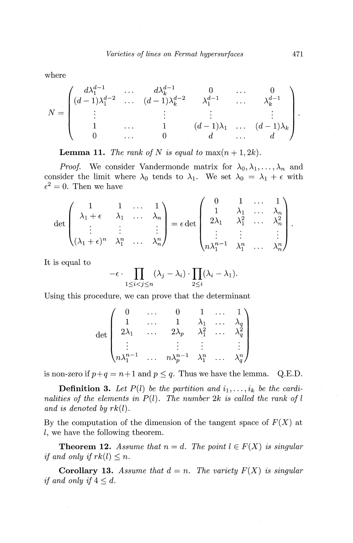where

$$
N = \begin{pmatrix} d\lambda_1^{d-1} & \cdots & d\lambda_k^{d-1} & 0 & \cdots & 0 \\ (d-1)\lambda_1^{d-2} & \cdots & (d-1)\lambda_k^{d-2} & \lambda_1^{d-1} & \cdots & \lambda_k^{d-1} \\ \vdots & \vdots & \vdots & \vdots & \vdots \\ 1 & \cdots & 1 & (d-1)\lambda_1 & \cdots & (d-1)\lambda_k \\ 0 & \cdots & 0 & d & \cdots & d \end{pmatrix}
$$

**Lemma 11.** *The rank of* N is equal to  $max(n + 1, 2k)$ .

*Proof.* We consider Vandermonde matrix for  $\lambda_0, \lambda_1, \ldots, \lambda_n$  and consider the limit where  $\lambda_0$  tends to  $\lambda_1$ . We set  $\lambda_0 = \lambda_1 + \epsilon$  with  $\epsilon^2 = 0$ . Then we have

$$
\det\begin{pmatrix} 1 & 1 & \dots & 1 \\ \lambda_1 + \epsilon & \lambda_1 & \dots & \lambda_n \\ \vdots & \vdots & & \vdots \\ (\lambda_1 + \epsilon)^n & \lambda_1^n & \dots & \lambda_n^n \end{pmatrix} = \epsilon \det\begin{pmatrix} 0 & 1 & \dots & 1 \\ 1 & \lambda_1 & \dots & \lambda_n \\ 2\lambda_1 & \lambda_1^2 & \dots & \lambda_n^2 \\ \vdots & \vdots & & \vdots \\ n\lambda_1^{n-1} & \lambda_1^n & \dots & \lambda_n^n \end{pmatrix}.
$$

It is equal to

$$
-\epsilon \cdot \prod_{1 \leq i < j \leq n} (\lambda_j - \lambda_i) \cdot \prod_{2 \leq i} (\lambda_i - \lambda_1).
$$

Using this procedure, we can prove that the determinant

$$
\det\begin{pmatrix}0&\dots&0&1&\dots&1\\1&\dots&1&\lambda_1&\dots&\lambda_q\\2\lambda_1&\dots&2\lambda_p&\lambda_1^2&\dots&\lambda_q^2\\\vdots&\vdots&\vdots&\vdots&\vdots\\n\lambda_1^{n-1}&\dots&n\lambda_p^{n-1}&\lambda_1^n&\dots&\lambda_q^n\end{pmatrix}
$$

is non-zero if  $p+q = n+1$  and  $p \leq q$ . Thus we have the lemma. Q.E.D.

**Definition 3.** Let  $P(l)$  be the partition and  $i_1, \ldots, i_k$  be the cardi*nalities of the elements in P(l). The number 2k is called the rank of l and is denoted by rk(l).* 

By the computation of the dimension of the tangent space of *F(X)* at l, we have the following theorem.

**Theorem 12.** Assume that  $n = d$ . The point  $l \in F(X)$  is singular *if and only if*  $rk(l) \leq n$ *.* 

**Corollary 13.** *Assume that*  $d = n$ . *The variety*  $F(X)$  *is singular if and only if*  $4 \leq d$ .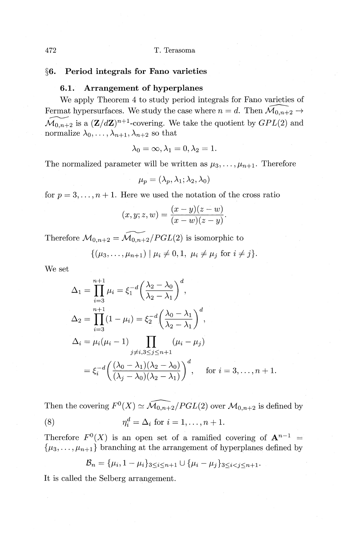4 72 T. Terasoma

# **§6. Period integrals for Fano varieties**

# **6.1. Arrangement of hyperplanes**

We apply Theorem 4 to study period integrals for Fano varieties of Fermat hypersurfaces. We study the case where  $n = d$ . Then  $\widehat{\mathcal{M}}_{0,n+2} \to$  $\widetilde{\mathcal{M}_{0,n+2}}$  is a  $(\mathbf{Z}/d\mathbf{Z})^{n+1}$ -covering. We take the quotient by  $GPL(2)$  and normalize  $\lambda_0, \ldots, \lambda_{n+1}, \lambda_{n+2}$  so that

$$
\lambda_0 = \infty, \lambda_1 = 0, \lambda_2 = 1.
$$

The normalized parameter will be written as  $\mu_3, \ldots, \mu_{n+1}$ . Therefore

$$
\mu_p=(\lambda_p,\lambda_1;\lambda_2,\lambda_0)
$$

for  $p = 3, \ldots, n + 1$ . Here we used the notation of the cross ratio

$$
(x,y;z,w)=\frac{(x-y)(z-w)}{(x-w)(z-y)}.
$$

Therefore  $\mathcal{M}_{0,n+2} = \widetilde{\mathcal{M}_{0,n+2}}/PGL(2)$  is isomorphic to

$$
\{(\mu_3,\ldots,\mu_{n+1}) \mid \mu_i \neq 0,1, \ \mu_i \neq \mu_j \ \text{for} \ i \neq j\}.
$$

We set

$$
\Delta_1 = \prod_{i=3}^{n+1} \mu_i = \xi_1^{-d} \left( \frac{\lambda_2 - \lambda_0}{\lambda_2 - \lambda_1} \right)^d,
$$
  
\n
$$
\Delta_2 = \prod_{i=3}^{n+1} (1 - \mu_i) = \xi_2^{-d} \left( \frac{\lambda_0 - \lambda_1}{\lambda_2 - \lambda_1} \right)^d,
$$
  
\n
$$
\Delta_i = \mu_i (\mu_i - 1) \prod_{\substack{j \neq i, 3 \le j \le n+1}} (\mu_i - \mu_j)
$$
  
\n
$$
= \xi_i^{-d} \left( \frac{(\lambda_0 - \lambda_1)(\lambda_2 - \lambda_0)}{(\lambda_j - \lambda_0)(\lambda_2 - \lambda_1)} \right)^d, \quad \text{for } i = 3, \dots, n+1.
$$

Then the covering  $F^0(X) \simeq \widehat{\mathcal{M}_{0,n+2}}/PGL(2)$  over  $\mathcal{M}_{0,n+2}$  is defined by (8)  $\eta_i^d = \Delta_i \text{ for } i = 1, ..., n + 1.$ 

Therefore  $F^0(X)$  is an open set of a ramified covering of  $A^{n-1}$  =  $\{\mu_3, \ldots, \mu_{n+1}\}$  branching at the arrangement of hyperplanes defined by

$$
\mathcal{B}_n = {\mu_i, 1 - \mu_i}_{3 \leq i \leq n+1} \cup {\mu_i - \mu_j}_{3 \leq i < j \leq n+1}.
$$

It is called the Selberg arrangement.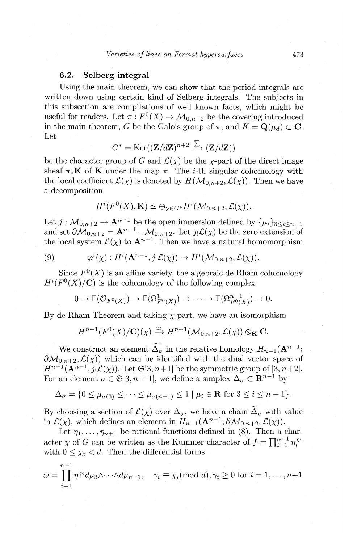# **6.2. Selberg integral**

Using the main theorem, we can show that the period integrals are written down using certain kind of Selberg integrals. The subjects in this subsection are compilations of well known facts, which might be useful for readers. Let  $\pi : F^0(X) \to \mathcal{M}_{0,n+2}$  be the covering introduced in the main theorem, *G* be the Galois group of  $\pi$ , and  $K = \mathbf{Q}(\mu_d) \subset \mathbf{C}$ . Let

$$
G^* = \text{Ker}((\mathbf{Z}/d\mathbf{Z})^{n+2} \xrightarrow{\sum} (\mathbf{Z}/d\mathbf{Z}))
$$

be the character group of *G* and  $\mathcal{L}(\chi)$  be the  $\chi$ -part of the direct image sheaf  $\pi_*\mathbf{K}$  of **K** under the map  $\pi$ . The *i*-th singular cohomology with the local coefficient  $\mathcal{L}(\chi)$  is denoted by  $H(\mathcal{M}_{0,n+2},\mathcal{L}(\chi))$ . Then we have a decomposition

$$
H^i(F^0(X),{\mathbf K}) \simeq \oplus_{\chi \in G^*} H^i(\mathcal{M}_{0,n+2},\mathcal{L}(\chi)).
$$

Let  $j: \mathcal{M}_{0,n+2} \to \mathbf{A}^{n-1}$  be the open immersion defined by  $\{\mu_i\}_{3 \leq i \leq n+1}$ and set  $\partial M_{0,n+2} = A^{n-1} - M_{0,n+2}$ . Let  $j_! \mathcal{L}(\chi)$  be the zero extension of the local system  $\mathcal{L}(\chi)$  to  $\mathbf{A}^{n-1}$ . Then we have a natural homomorphism

(9) 
$$
\varphi^i(\chi): H^i(\mathbf{A}^{n-1}, j_! \mathcal{L}(\chi)) \to H^i(\mathcal{M}_{0,n+2}, \mathcal{L}(\chi)).
$$

Since  $F^0(X)$  is an affine variety, the algebraic de Rham cohomology  $H^{i}(F^{0}(X)/\mathbf{C})$  is the cohomology of the following complex

 $0 \to \Gamma(\mathcal{O}_{F^0(X)}) \to \Gamma(\Omega^1_{F^0(X)}) \to \cdots \to \Gamma(\Omega^{n-1}_{F^0(X)}) \to 0.$ 

By de Rham Theorem and taking  $\chi$ -part, we have an isomorphism

$$
H^{n-1}(F^0(X)/\mathbf{C})(\chi) \xrightarrow{\simeq} H^{n-1}(\mathcal{M}_{0,n+2},\mathcal{L}(\chi)) \otimes_{\mathbf{K}} \mathbf{C}.
$$

We construct an element  $\widetilde{\Delta_{\sigma}}$  in the relative homology  $H_{n-1}(\mathbf{A}^{n-1})$ ;  $\partial M_{0,n+2}, \mathcal{L}(\chi)$  which can be identified with the dual vector space of  $H^{n-1}(\mathbf{A}^{n-1},j_1\mathcal{L}(\chi))$ . Let  $\mathfrak{S}[3,n+1]$  be the symmetric group of  $[3,n+2]$ . For an element  $\sigma \in \mathfrak{S}[3, n+1]$ , we define a simplex  $\Delta_{\sigma} \subset \mathbb{R}^{n-1}$  by

$$
\Delta_{\sigma} = \{0 \le \mu_{\sigma(3)} \le \cdots \le \mu_{\sigma(n+1)} \le 1 \mid \mu_i \in \mathbf{R} \text{ for } 3 \le i \le n+1\}.
$$

By choosing a section of  $\mathcal{L}(\chi)$  over  $\Delta_{\sigma}$ , we have a chain  $\widetilde{\Delta}_{\sigma}$  with value in  $\mathcal{L}(\chi)$ , which defines an element in  $H_{n-1}(\mathbf{A}^{n-1};\partial \mathcal{M}_{0,n+2},\mathcal{L}(\chi)).$ 

Let  $\eta_1, \ldots, \eta_{n+1}$  be rational functions defined in (8). Then a character  $\chi$  of G can be written as the Kummer character of  $f=\prod_{i=1}^{n+1}\eta_i^{\chi_i}$ ; with  $0 \leq \chi_i \leq d$ . Then the differential forms

$$
\omega = \prod_{i=1}^{n+1} \eta^{\gamma_i} d\mu_3 \wedge \dots \wedge d\mu_{n+1}, \quad \gamma_i \equiv \chi_i \pmod{d}, \gamma_i \ge 0 \text{ for } i = 1, \dots, n+1
$$